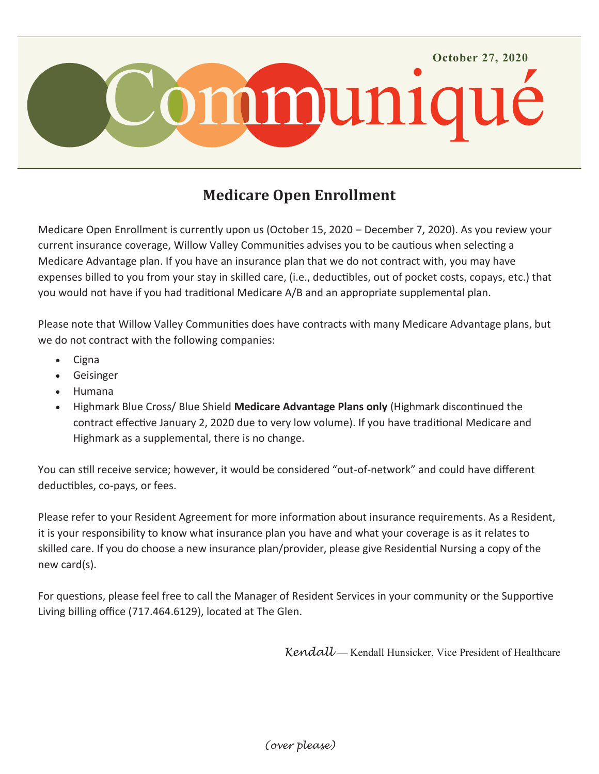

## **Medicare Open Enrollment**

Medicare Open Enrollment is currently upon us (October 15, 2020 – December 7, 2020). As you review your current insurance coverage, Willow Valley Communities advises you to be cautious when selecting a Medicare Advantage plan. If you have an insurance plan that we do not contract with, you may have expenses billed to you from your stay in skilled care, (i.e., deductibles, out of pocket costs, copays, etc.) that you would not have if you had traditional Medicare A/B and an appropriate supplemental plan.

Please note that Willow Valley Communities does have contracts with many Medicare Advantage plans, but we do not contract with the following companies:

- Cigna
- Geisinger
- Humana
- Highmark Blue Cross/ Blue Shield **Medicare Advantage Plans only** (Highmark discontinued the contract effective January 2, 2020 due to very low volume). If you have traditional Medicare and Highmark as a supplemental, there is no change.

You can still receive service; however, it would be considered "out-of-network" and could have different deductibles, co-pays, or fees.

Please refer to your Resident Agreement for more information about insurance requirements. As a Resident, it is your responsibility to know what insurance plan you have and what your coverage is as it relates to skilled care. If you do choose a new insurance plan/provider, please give Residential Nursing a copy of the new card(s).

For questions, please feel free to call the Manager of Resident Services in your community or the Supportive Living billing office (717.464.6129), located at The Glen.

*Kendall* — Kendall Hunsicker, Vice President of Healthcare